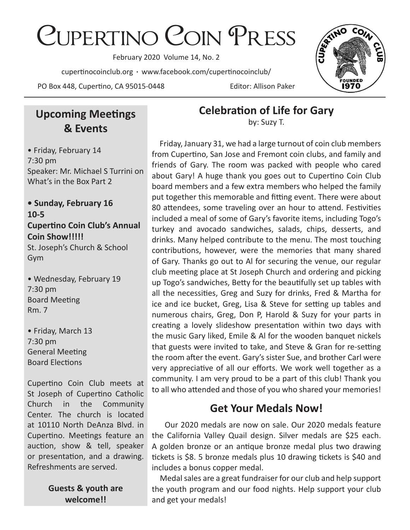# Cupertino Coin Press

February 2020 Volume 14, No. 2

cupertinocoinclub.org • www.facebook.com/cupertinocoinclub/

PO Box 448, Cupertino, CA 95015-0448 Editor: Allison Paker



# **Upcoming Meetings & Events**

• Friday, February 14 7:30 pm Speaker: Mr. Michael S Turrini on What's in the Box Part 2

#### **• Sunday, February 16 10-5 Cupertino Coin Club's Annual Coin Show!!!!!**

St. Joseph's Church & School Gym

• Wednesday, February 19 7:30 pm Board Meeting Rm. 7

• Friday, March 13 7:30 pm General Meeting Board Elections

Cupertino Coin Club meets at St Joseph of Cupertino Catholic Church in the Community Center. The church is located at 10110 North DeAnza Blvd. in Cupertino. Meetings feature an auction, show & tell, speaker or presentation, and a drawing. Refreshments are served.

> **Guests & youth are welcome!!**

**Celebration of Life for Gary**

by: Suzy T.

 Friday, January 31, we had a large turnout of coin club members from Cupertino, San Jose and Fremont coin clubs, and family and friends of Gary. The room was packed with people who cared about Gary! A huge thank you goes out to Cupertino Coin Club board members and a few extra members who helped the family put together this memorable and fitting event. There were about 80 attendees, some traveling over an hour to attend. Festivities included a meal of some of Gary's favorite items, including Togo's turkey and avocado sandwiches, salads, chips, desserts, and drinks. Many helped contribute to the menu. The most touching contributions, however, were the memories that many shared of Gary. Thanks go out to Al for securing the venue, our regular club meeting place at St Joseph Church and ordering and picking up Togo's sandwiches, Betty for the beautifully set up tables with all the necessities, Greg and Suzy for drinks, Fred & Martha for ice and ice bucket, Greg, Lisa & Steve for setting up tables and numerous chairs, Greg, Don P, Harold & Suzy for your parts in creating a lovely slideshow presentation within two days with the music Gary liked, Emile & Al for the wooden banquet nickels that guests were invited to take, and Steve & Gran for re-setting the room after the event. Gary's sister Sue, and brother Carl were very appreciative of all our efforts. We work well together as a community. I am very proud to be a part of this club! Thank you to all who attended and those of you who shared your memories!

# **Get Your Medals Now!**

 Our 2020 medals are now on sale. Our 2020 medals feature the California Valley Quail design. Silver medals are \$25 each. A golden bronze or an antique bronze medal plus two drawing tickets is \$8. 5 bronze medals plus 10 drawing tickets is \$40 and includes a bonus copper medal.

 Medal sales are a great fundraiser for our club and help support the youth program and our food nights. Help support your club and get your medals!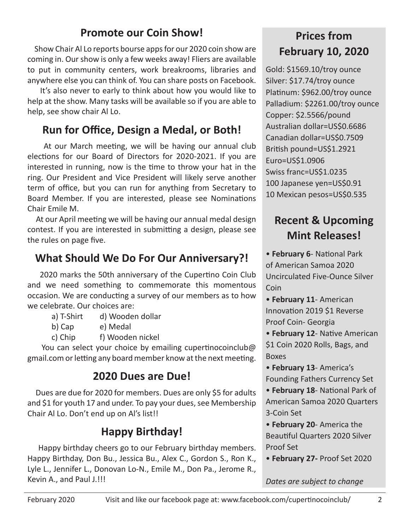# **Promote our Coin Show!**

 Show Chair Al Lo reports bourse apps for our 2020 coin show are coming in. Our show is only a few weeks away! Fliers are available to put in community centers, work breakrooms, libraries and anywhere else you can think of. You can share posts on Facebook.

 It's also never to early to think about how you would like to help at the show. Many tasks will be available so if you are able to help, see show chair Al Lo.

# **Run for Office, Design a Medal, or Both!**

 At our March meeting, we will be having our annual club elections for our Board of Directors for 2020-2021. If you are interested in running, now is the time to throw your hat in the ring. Our President and Vice President will likely serve another term of office, but you can run for anything from Secretary to Board Member. If you are interested, please see Nominations Chair Emile M.

 At our April meeting we will be having our annual medal design contest. If you are interested in submitting a design, please see the rules on page five.

# **What Should We Do For Our Anniversary?!**

 2020 marks the 50th anniversary of the Cupertino Coin Club and we need something to commemorate this momentous occasion. We are conducting a survey of our members as to how we celebrate. Our choices are:

- a) T-Shirt d) Wooden dollar
- b) Cap e) Medal
- c) Chip f) Wooden nickel

You can select your choice by emailing cupertinocoinclub@ gmail.com or letting any board member know at the next meeting.

# **2020 Dues are Due!**

 Dues are due for 2020 for members. Dues are only \$5 for adults and \$1 for youth 17 and under. To pay your dues, see Membership Chair Al Lo. Don't end up on Al's list!!

# **Happy Birthday!**

 Happy birthday cheers go to our February birthday members. Happy Birthday, Don Bu., Jessica Bu., Alex C., Gordon S., Ron K., Lyle L., Jennifer L., Donovan Lo-N., Emile M., Don Pa., Jerome R., Kevin A., and Paul J.!!!

# **Prices from February 10, 2020**

Gold: \$1569.10/troy ounce Silver: \$17.74/troy ounce Platinum: \$962.00/troy ounce Palladium: \$2261.00/troy ounce Copper: \$2.5566/pound Australian dollar=US\$0.6686 Canadian dollar=US\$0.7509 British pound=US\$1.2921 Euro=US\$1.0906 Swiss franc=US\$1.0235 100 Japanese yen=US\$0.91 10 Mexican pesos=US\$0.535

# **Recent & Upcoming Mint Releases!**

• **February 6**- National Park of American Samoa 2020 Uncirculated Five-Ounce Silver **Coin** 

• **February 11**- American Innovation 2019 \$1 Reverse Proof Coin- Georgia

• **February 12**- Native American \$1 Coin 2020 Rolls, Bags, and Boxes

• **February 13**- America's Founding Fathers Currency Set

• **February 18**- National Park of American Samoa 2020 Quarters 3-Coin Set

• **February 20**- America the Beautiful Quarters 2020 Silver Proof Set

• **February 27-** Proof Set 2020

#### *Dates are subject to change*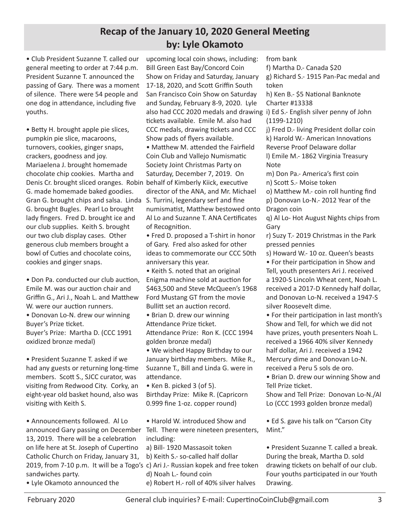#### **Recap of the January 10, 2020 General Meeting by: Lyle Okamoto**

• Club President Suzanne T. called our general meeting to order at 7:44 p.m. President Suzanne T. announced the passing of Gary. There was a moment of silence. There were 54 people and one dog in attendance, including five youths.

• Betty H. brought apple pie slices, pumpkin pie slice, macaroons, turnovers, cookies, ginger snaps, crackers, goodness and joy. Mariaelena J. brought homemade chocolate chip cookies. Martha and Denis Cr. brought sliced oranges. Robin behalf of Kimberly Kiick, executive G. made homemade baked goodies. Gran G. brought chips and salsa. Linda S. Turrini, legendary serf and fine G. brought Bugles. Pearl Lo brought lady fingers. Fred D. brought ice and our club supplies. Keith S. brought our two club display cases. Other generous club members brought a bowl of Cuties and chocolate coins, cookies and ginger snaps.

• Don Pa. conducted our club auction, Emile M. was our auction chair and Griffin G., Ari J., Noah L. and Matthew W. were our auction runners.

• Donovan Lo-N. drew our winning Buyer's Prize ticket.

Buyer's Prize: Martha D. (CCC 1991 oxidized bronze medal)

• President Suzanne T. asked if we had any guests or returning long-time members. Scott S., SJCC curator, was visiting from Redwood City. Corky, an eight-year old basket hound, also was visiting with Keith S.

• Announcements followed. Al Lo announced Gary passing on December Tell. There were nineteen presenters, 13, 2019. There will be a celebration on life here at St. Joseph of Cupertino Catholic Church on Friday, January 31, 2019, from 7-10 p.m. It will be a Togo's c) Ari J.- Russian kopek and free token sandwiches party.

• Lyle Okamoto announced the

upcoming local coin shows, including: Bill Green East Bay/Concord Coin Show on Friday and Saturday, January 17-18, 2020, and Scott Griffin South San Francisco Coin Show on Saturday and Sunday, February 8-9, 2020. Lyle also had CCC 2020 medals and drawing i) Ed S.- English silver penny of John tickets available. Emile M. also had CCC medals, drawing tickets and CCC Show pads of flyers available. • Matthew M. attended the Fairfield Coin Club and Vallejo Numismatic Society Joint Christmas Party on Saturday, December 7, 2019. On director of the ANA, and Mr. Michael numismatist, Matthew bestowed onto Al Lo and Suzanne T. ANA Certificates of Recognition.

• Fred D. proposed a T-shirt in honor of Gary. Fred also asked for other ideas to commemorate our CCC 50th anniversary this year.

• Keith S. noted that an original Enigma machine sold at auction for \$463,500 and Steve McQueen's 1968 Ford Mustang GT from the movie Bullitt set an auction record.

• Brian D. drew our winning Attendance Prize ticket. Attendance Prize: Ron K. (CCC 1994

golden bronze medal) • We wished Happy Birthday to our

January birthday members. Mike R., Suzanne T., Bill and Linda G. were in attendance.

• Ken B. picked 3 (of 5). Birthday Prize: Mike R. (Capricorn 0.999 fine 1-oz. copper round)

• Harold W. introduced Show and including:

a) Bill- 1920 Massasoit token

b) Keith S.- so-called half dollar

d) Noah L.- found coin

e) Robert H.- roll of 40% silver halves

from bank f) Martha D.- Canada \$20 g) Richard S.- 1915 Pan-Pac medal and token h) Ken B.- \$5 National Banknote Charter #13338 (1199-1210) j) Fred D.- living President dollar coin k) Harold W.- American Innovations Reverse Proof Delaware dollar l) Emile M.- 1862 Virginia Treasury Note m) Don Pa.- America's first coin n) Scott S.- Moise token o) Matthew M.- coin roll hunting find p) Donovan Lo-N.- 2012 Year of the Dragon coin q) Al Lo- Hot August Nights chips from Gary r) Suzy T.- 2019 Christmas in the Park pressed pennies s) Howard W.- 10 oz. Queen's beasts • For their participation in Show and Tell, youth presenters Ari J. received a 1920-S Lincoln Wheat cent, Noah L. received a 2017-D Kennedy half dollar, and Donovan Lo-N. received a 1947-S silver Roosevelt dime. • For their participation in last month's Show and Tell, for which we did not have prizes, youth presenters Noah L. received a 1966 40% silver Kennedy half dollar, Ari J. received a 1942 Mercury dime and Donovan Lo-N. received a Peru 5 sols de oro. • Brian D. drew our winning Show and Tell Prize ticket. Show and Tell Prize: Donovan Lo-N./Al

Lo (CCC 1993 golden bronze medal)

• Ed S. gave his talk on "Carson City Mint."

• President Suzanne T. called a break. During the break, Martha D. sold drawing tickets on behalf of our club. Four youths participated in our Youth Drawing.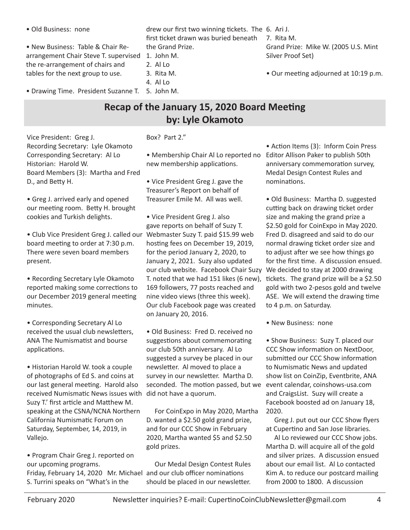• Old Business: none

drew our first two winning tickets. The 6. Ari J. first ticket drawn was buried beneath the Grand Prize.

• New Business: Table & Chair Rearrangement Chair Steve T. supervised the re-arrangement of chairs and tables for the next group to use.

• Drawing Time. President Suzanne T. 5. John M.

#### 1. John M.

- 2. Al Lo 3. Rita M.
- 4. Al Lo
- 
- 7. Rita M. Grand Prize: Mike W. (2005 U.S. Mint Silver Proof Set)
- Our meeting adjourned at 10:19 p.m.

## **Recap of the January 15, 2020 Board Meeting by: Lyle Okamoto**

#### Box? Part 2."

Vice President: Greg J. Recording Secretary: Lyle Okamoto Corresponding Secretary: Al Lo Historian: Harold W. Board Members (3): Martha and Fred D., and Betty H.

• Greg J. arrived early and opened our meeting room. Betty H. brought cookies and Turkish delights.

• Club Vice President Greg J. called our board meeting to order at 7:30 p.m. There were seven board members present.

• Recording Secretary Lyle Okamoto reported making some corrections to our December 2019 general meeting minutes.

• Corresponding Secretary Al Lo received the usual club newsletters, ANA The Numismatist and bourse applications.

• Historian Harold W. took a couple of photographs of Ed S. and coins at our last general meeting. Harold also received Numismatic News issues with Suzy T.' first article and Matthew M. speaking at the CSNA/NCNA Northern California Numismatic Forum on Saturday, September, 14, 2019, in Vallejo.

• Program Chair Greg J. reported on our upcoming programs. Friday, February 14, 2020 Mr. Michael and our club officer nominations S. Turrini speaks on "What's in the

• Membership Chair Al Lo reported no new membership applications.

• Vice President Greg J. gave the Treasurer's Report on behalf of Treasurer Emile M. All was well.

• Vice President Greg J. also gave reports on behalf of Suzy T. Webmaster Suzy T. paid \$15.99 web hosting fees on December 19, 2019, for the period January 2, 2020, to January 2, 2021. Suzy also updated our club website. Facebook Chair Suzy T. noted that we had 151 likes (6 new), 169 followers, 77 posts reached and nine video views (three this week). Our club Facebook page was created on January 20, 2016.

• Old Business: Fred D. received no suggestions about commemorating our club 50th anniversary. Al Lo suggested a survey be placed in our newsletter. Al moved to place a survey in our newsletter. Martha D. seconded. The motion passed, but we did not have a quorum.

 For CoinExpo in May 2020, Martha D. wanted a \$2.50 gold grand prize, and for our CCC Show in February 2020, Martha wanted \$5 and \$2.50 gold prizes.

 Our Medal Design Contest Rules should be placed in our newsletter.

• Action Items (3): Inform Coin Press Editor Allison Paker to publish 50th anniversary commemoration survey, Medal Design Contest Rules and nominations.

• Old Business: Martha D. suggested cutting back on drawing ticket order size and making the grand prize a \$2.50 gold for CoinExpo in May 2020. Fred D. disagreed and said to do our normal drawing ticket order size and to adjust after we see how things go for the first time. A discussion ensued. We decided to stay at 2000 drawing tickets. The grand prize will be a \$2.50 gold with two 2-pesos gold and twelve ASE. We will extend the drawing time to 4 p.m. on Saturday.

• New Business: none

• Show Business: Suzy T. placed our CCC Show information on NextDoor, submitted our CCC Show information to Numismatic News and updated show list on CoinZip, Eventbrite, ANA event calendar, coinshows-usa.com and CraigsList. Suzy will create a Facebook boosted ad on January 18, 2020.

 Greg J. put out our CCC Show flyers at Cupertino and San Jose libraries.

 Al Lo reviewed our CCC Show jobs. Martha D. will acquire all of the gold and silver prizes. A discussion ensued about our email list. Al Lo contacted Kim A. to reduce our postcard mailing from 2000 to 1800. A discussion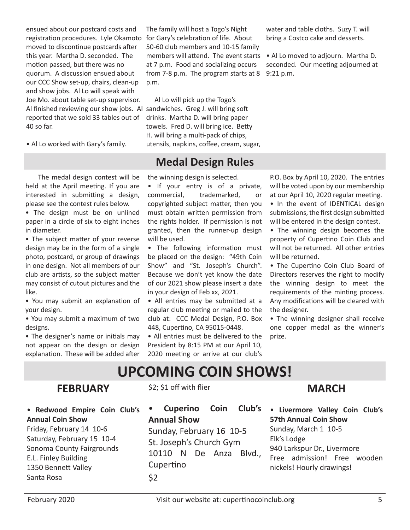ensued about our postcard costs and registration procedures. Lyle Okamoto moved to discontinue postcards after this year. Martha D. seconded. The motion passed, but there was no quorum. A discussion ensued about our CCC Show set-up, chairs, clean-up and show jobs. Al Lo will speak with Joe Mo. about table set-up supervisor. Al finished reviewing our show jobs. Al sandwiches. Greg J. will bring soft reported that we sold 33 tables out of 40 so far.

• Al Lo worked with Gary's family.

 The medal design contest will be held at the April meeting. If you are interested in submitting a design, please see the contest rules below.

• The design must be on unlined paper in a circle of six to eight inches in diameter.

• The subject matter of your reverse design may be in the form of a single photo, postcard, or group of drawings in one design. Not all members of our club are artists, so the subject matter may consist of cutout pictures and the like.

• You may submit an explanation of your design.

• You may submit a maximum of two designs.

• The designer's name or initials may not appear on the design or design explanation. These will be added after

The family will host a Togo's Night for Gary's celebration of life. About 50-60 club members and 10-15 family members will attend. The event starts at 7 p.m. Food and socializing occurs from 7-8 p.m. The program starts at 8 p.m.

 Al Lo will pick up the Togo's drinks. Martha D. will bring paper towels. Fred D. will bring ice. Betty H. will bring a multi-pack of chips, utensils, napkins, coffee, cream, sugar,

### **Medal Design Rules**

the winning design is selected.

• If your entry is of a private, commercial, trademarked, or copyrighted subject matter, then you must obtain written permission from the rights holder. If permission is not granted, then the runner-up design will be used.

• The following information must be placed on the design: "49th Coin Show" and "St. Joseph's Church". Because we don't yet know the date of our 2021 show please insert a date in your design of Feb xx, 2021.

• All entries may be submitted at a regular club meeting or mailed to the club at: CCC Medal Design, P.O. Box 448, Cupertino, CA 95015-0448.

• All entries must be delivered to the President by 8:15 PM at our April 10, 2020 meeting or arrive at our club's P.O. Box by April 10, 2020. The entries will be voted upon by our membership at our April 10, 2020 regular meeting.

water and table cloths. Suzy T. will bring a Costco cake and desserts.

• Al Lo moved to adjourn. Martha D. seconded. Our meeting adjourned at

9:21 p.m.

• In the event of IDENTICAL design submissions, the first design submitted will be entered in the design contest.

• The winning design becomes the property of Cupertino Coin Club and will not be returned. All other entries will be returned.

• The Cupertino Coin Club Board of Directors reserves the right to modify the winning design to meet the requirements of the minting process. Any modifications will be cleared with the designer.

• The winning designer shall receive one copper medal as the winner's prize.

# **UPCOMING COIN SHOWS!**

#### **FEBRUARY**

\$2; \$1 off with flier

• **Redwood Empire Coin Club's Annual Coin Show** Friday, February 14 10-6

Saturday, February 15 10-4 Sonoma County Fairgrounds E.L. Finley Building 1350 Bennett Valley Santa Rosa

• **Cuperino Coin Club's** 

**Annual Show**

Sunday, February 16 10-5 St. Joseph's Church Gym 10110 N De Anza Blvd., Cupertino \$2

# **MARCH**

• **Livermore Valley Coin Club's 57th Annual Coin Show** Sunday, March 1 10-5 Elk's Lodge 940 Larkspur Dr., Livermore Free admission! Free wooden nickels! Hourly drawings!